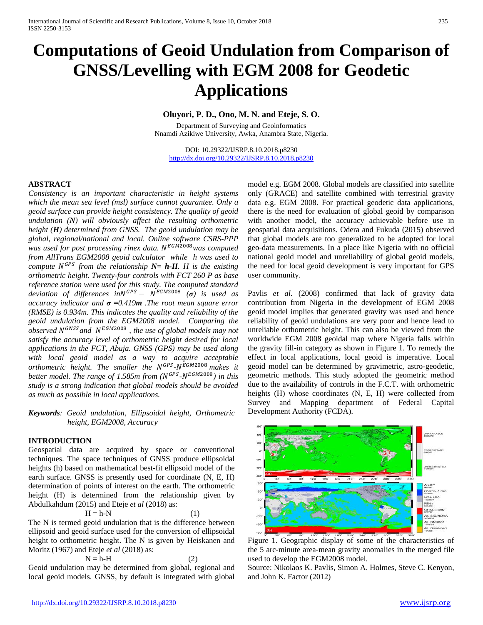# **Computations of Geoid Undulation from Comparison of GNSS/Levelling with EGM 2008 for Geodetic Applications**

# **Oluyori, P. D., Ono, M. N. and Eteje, S. O.**

Department of Surveying and Geoinformatics Nnamdi Azikiwe University, Awka, Anambra State, Nigeria.

DOI: 10.29322/IJSRP.8.10.2018.p8230 <http://dx.doi.org/10.29322/IJSRP.8.10.2018.p8230>

# **ABSTRACT**

*Consistency is an important characteristic in height systems which the mean sea level (msl) surface cannot guarantee. Only a geoid surface can provide height consistency. The quality of geoid undulation (N) will obviously affect the resulting orthometric height (H) determined from GNSS. The geoid undulation may be global, regional/national and local. Online software CSRS-PPP was used for post processing rinex data.*  $N^{EGM2008}$ *was computed from AllTrans EGM2008 geoid calculator while h was used to compute*  $N^{GPS}$  *from the relationship*  $N = h \cdot H$ *. H is the existing orthometric height. Twenty-four controls with FCT 260 P as base reference station were used for this study. The computed standard*   $deviation$  *of differences in*  $N$ <sup>*GPS*</sup> -  $N$ <sup>*EGM*2008</sup>  $(\sigma)$  *is used as accuracy indicator and σ =0.419m .The root mean square error (RMSE) is 0.934m. This indicates the quality and reliability of the geoid undulation from the EGM2008 model. Comparing the observed* N<sup>GNSS</sup> and N<sup>EGM2008</sup>, the use of global models may not *satisfy the accuracy level of orthometric height desired for local applications in the FCT, Abuja. GNSS (GPS) may be used along with local geoid model as a way to acquire acceptable orthometric height. The smaller the N<sup>GPS</sup>-N<sup>EGM2008</sup> makes it better model. The range of 1.585m from (N<sup>GPS</sup>-N<sup>EGM2008</sup>) in this study is a strong indication that global models should be avoided as much as possible in local applications.*

*Keywords: Geoid undulation, Ellipsoidal height, Orthometric height, EGM2008, Accuracy*

#### **INTRODUCTION**

Geospatial data are acquired by space or conventional techniques. The space techniques of GNSS produce ellipsoidal heights (h) based on mathematical best-fit ellipsoid model of the earth surface. GNSS is presently used for coordinate (N, E, H) determination of points of interest on the earth. The orthometric height (H) is determined from the relationship given by Abdulkahdum (2015) and Eteje *et al* (2018) as:

$$
H = h - N \tag{1}
$$

The N is termed geoid undulation that is the difference between ellipsoid and geoid surface used for the conversion of ellipsoidal height to orthometric height. The N is given by Heiskanen and Moritz (1967) and Eteje *et al* (2018) as:

$$
N = h - H \tag{2}
$$

Geoid undulation may be determined from global, regional and local geoid models. GNSS, by default is integrated with global

model e.g. EGM 2008. Global models are classified into satellite only (GRACE) and satellite combined with terrestrial gravity data e.g. EGM 2008. For practical geodetic data applications, there is the need for evaluation of global geoid by comparison with another model, the accuracy achievable before use in geospatial data acquisitions. Odera and Fukuda (2015) observed that global models are too generalized to be adopted for local geo-data measurements. In a place like Nigeria with no official national geoid model and unreliability of global geoid models, the need for local geoid development is very important for GPS user community.

Pavlis *et al.* (2008) confirmed that lack of gravity data contribution from Nigeria in the development of EGM 2008 geoid model implies that generated gravity was used and hence reliability of geoid undulations are very poor and hence lead to unreliable orthometric height. This can also be viewed from the worldwide EGM 2008 geoidal map where Nigeria falls within the gravity fill-in category as shown in Figure 1. To remedy the effect in local applications, local geoid is imperative. Local geoid model can be determined by gravimetric, astro-geodetic, geometric methods. This study adopted the geometric method due to the availability of controls in the F.C.T. with orthometric heights (H) whose coordinates (N, E, H) were collected from Survey and Mapping department of Federal Capital Development Authority (FCDA).



Figure 1. Geographic display of some of the characteristics of the 5 arc-minute area-mean gravity anomalies in the merged file used to develop the EGM2008 model.

Source: Nikolaos K. Pavlis, Simon A. Holmes, Steve C. Kenyon, and John K. Factor (2012)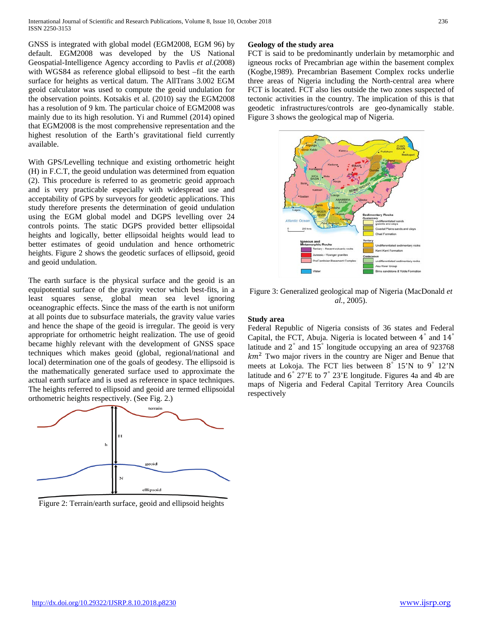GNSS is integrated with global model (EGM2008, EGM 96) by default. EGM2008 was developed by the US National Geospatial-Intelligence Agency according to Pavlis *et al*.(2008) with WGS84 as reference global ellipsoid to best –fit the earth surface for heights as vertical datum. The AllTrans 3.002 EGM geoid calculator was used to compute the geoid undulation for the observation points. Kotsakis et al. (2010) say the EGM2008 has a resolution of 9 km. The particular choice of EGM2008 was mainly due to its high resolution. Yi and Rummel (2014) opined that EGM2008 is the most comprehensive representation and the highest resolution of the Earth's gravitational field currently available.

With GPS/Levelling technique and existing orthometric height (H) in F.C.T, the geoid undulation was determined from equation (2). This procedure is referred to as geometric geoid approach and is very practicable especially with widespread use and acceptability of GPS by surveyors for geodetic applications. This study therefore presents the determination of geoid undulation using the EGM global model and DGPS levelling over 24 controls points. The static DGPS provided better ellipsoidal heights and logically, better ellipsoidal heights would lead to better estimates of geoid undulation and hence orthometric heights. Figure 2 shows the geodetic surfaces of ellipsoid, geoid and geoid undulation.

The earth surface is the physical surface and the geoid is an equipotential surface of the gravity vector which best-fits, in a least squares sense, global mean sea level ignoring oceanographic effects. Since the mass of the earth is not uniform at all points due to subsurface materials, the gravity value varies and hence the shape of the geoid is irregular. The geoid is very appropriate for orthometric height realization. The use of geoid became highly relevant with the development of GNSS space techniques which makes geoid (global, regional/national and local) determination one of the goals of geodesy. The ellipsoid is the mathematically generated surface used to approximate the actual earth surface and is used as reference in space techniques. The heights referred to ellipsoid and geoid are termed ellipsoidal orthometric heights respectively. (See Fig. 2.)



Figure 2: Terrain/earth surface, geoid and ellipsoid heights

# **Geology of the study area**

FCT is said to be predominantly underlain by metamorphic and igneous rocks of Precambrian age within the basement complex (Kogbe,1989). Precambrian Basement Complex rocks underlie three areas of Nigeria including the North-central area where FCT is located. FCT also lies outside the two zones suspected of tectonic activities in the country. The implication of this is that geodetic infrastructures/controls are geo-dynamically stable. Figure 3 shows the geological map of Nigeria.



Figure 3: Generalized geological map of Nigeria (MacDonald *et al.*, 2005).

# **Study area**

Federal Republic of Nigeria consists of 36 states and Federal Capital, the FCT, Abuja. Nigeria is located between 4*°* and 14*°* latitude and 2*°* and 15*°* longitude occupying an area of 923768  $km<sup>2</sup>$  Two major rivers in the country are Niger and Benue that meets at Lokoja. The FCT lies between 8*°* 15'N to 9*°* 12'N latitude and 6*°* 27'E to 7*°* 23'E longitude. Figures 4a and 4b are maps of Nigeria and Federal Capital Territory Area Councils respectively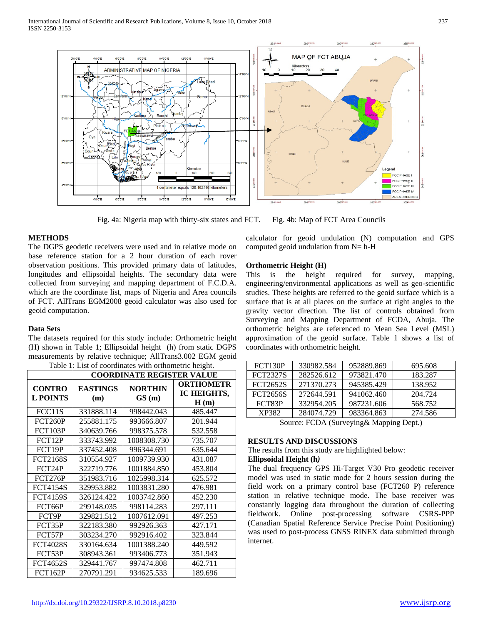

Fig. 4a: Nigeria map with thirty-six states and FCT. Fig. 4b: Map of FCT Area Councils

# **METHODS**

The DGPS geodetic receivers were used and in relative mode on base reference station for a 2 hour duration of each rover observation positions. This provided primary data of latitudes, longitudes and ellipsoidal heights. The secondary data were collected from surveying and mapping department of F.C.D.A. which are the coordinate list, maps of Nigeria and Area councils of FCT. AllTrans EGM2008 geoid calculator was also used for geoid computation.

#### **Data Sets**

The datasets required for this study include: Orthometric height (H) shown in Table 1; Ellipsoidal height (h) from static DGPS measurements by relative technique; AllTrans3.002 EGM geoid Table 1: List of coordinates with orthometric height.

| Table 1. Else of coordinates with orthometric height.<br><b>COORDINATE REGISTER VALUE</b> |                        |                         |                                         |  |  |
|-------------------------------------------------------------------------------------------|------------------------|-------------------------|-----------------------------------------|--|--|
| <b>CONTRO</b><br><b>L POINTS</b>                                                          | <b>EASTINGS</b><br>(m) | <b>NORTHIN</b><br>GS(m) | <b>ORTHOMETR</b><br>IC HEIGHTS,<br>H(m) |  |  |
| FCC11S                                                                                    | 331888.114             | 998442.043              | 485.447                                 |  |  |
| FCT260P                                                                                   | 255881.175             | 993666.807              | 201.944                                 |  |  |
| <b>FCT103P</b>                                                                            | 340639.766             | 998375.578              | 532.558                                 |  |  |
| FCT12P                                                                                    | 333743.992             | 1008308.730             | 735.707                                 |  |  |
| FCT19P                                                                                    | 337452.408             | 996344.691              | 635.644                                 |  |  |
| <b>FCT2168S</b>                                                                           | 310554.927             | 1009739.930             | 431.087                                 |  |  |
| FCT24P                                                                                    | 322719.776             | 1001884.850             | 453.804                                 |  |  |
| FCT276P                                                                                   | 351983.716             | 1025998.314             | 625.572                                 |  |  |
| <b>FCT4154S</b>                                                                           | 329953.882             | 1003831.280             | 476.981                                 |  |  |
| <b>FCT4159S</b>                                                                           | 326124.422             | 1003742.860             | 452.230                                 |  |  |
| FCT66P                                                                                    | 299148.035             | 998114.283              | 297.111                                 |  |  |
| FCT9P                                                                                     | 329821.512             | 1007612.091             | 497.253                                 |  |  |
| FCT35P                                                                                    | 322183.380             | 992926.363              | 427.171                                 |  |  |
| FCT57P                                                                                    | 303234.270             | 992916.402              | 323.844                                 |  |  |
| <b>FCT4028S</b>                                                                           | 330164.634             | 1001388.240             | 449.592                                 |  |  |
| FCT53P                                                                                    | 308943.361             | 993406.773              | 351.943                                 |  |  |
| <b>FCT4652S</b>                                                                           | 329441.767             | 997474.808              | 462.711                                 |  |  |
| <b>FCT162P</b>                                                                            | 270791.291             | 934625.533              | 189.696                                 |  |  |

calculator for geoid undulation (N) computation and GPS computed geoid undulation from  $N= h-H$ 

## **Orthometric Height (H)**

This is the height required for survey, mapping, engineering/environmental applications as well as geo-scientific studies. These heights are referred to the geoid surface which is a surface that is at all places on the surface at right angles to the gravity vector direction. The list of controls obtained from Surveying and Mapping Department of FCDA, Abuja. The orthometric heights are referenced to Mean Sea Level (MSL) approximation of the geoid surface. Table 1 shows a list of coordinates with orthometric height.

| FCT130P         | 330982.584 | 952889.869 | 695.608 |
|-----------------|------------|------------|---------|
| <b>FCT2327S</b> | 282526.612 | 973821.470 | 183.287 |
| <b>FCT2652S</b> | 271370.273 | 945385.429 | 138.952 |
| <b>FCT2656S</b> | 272644.591 | 941062.460 | 204.724 |
| FCT83P          | 332954.205 | 987231.606 | 568.752 |
| XP382           | 284074.729 | 983364.863 | 274.586 |

Source: FCDA (Surveying& Mapping Dept.)

#### **RESULTS AND DISCUSSIONS**

The results from this study are highlighted below:

#### **Ellipsoidal Height (h***)*

The dual frequency GPS Hi-Target V30 Pro geodetic receiver model was used in static mode for 2 hours session during the field work on a primary control base (FCT260 P) reference station in relative technique mode. The base receiver was constantly logging data throughout the duration of collecting fieldwork. Online post-processing software CSRS-PPP (Canadian Spatial Reference Service Precise Point Positioning) was used to post-process GNSS RINEX data submitted through internet.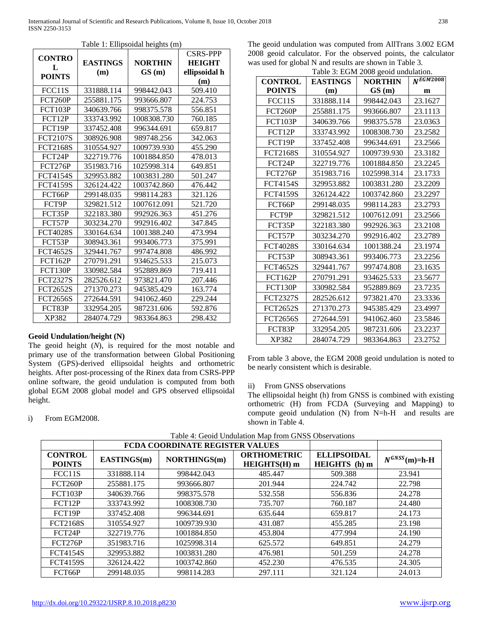|                 |                 | raore 1. Empsorum neights (m) | <b>CSRS-PPP</b> |
|-----------------|-----------------|-------------------------------|-----------------|
| <b>CONTRO</b>   | <b>EASTINGS</b> | <b>NORTHIN</b>                | <b>HEIGHT</b>   |
| L               | (m)             | GS(m)                         | ellipsoidal h   |
| <b>POINTS</b>   |                 |                               | (m)             |
| FCC11S          | 331888.114      | 998442.043                    | 509.410         |
| FCT260P         | 255881.175      | 993666.807                    | 224.753         |
| <b>FCT103P</b>  | 340639.766      | 998375.578                    | 556.851         |
| FCT12P          | 333743.992      | 1008308.730                   | 760.185         |
| FCT19P          | 337452.408      | 996344.691                    | 659.817         |
| <b>FCT2107S</b> | 308926.908      | 989748.256                    | 342.063         |
| <b>FCT2168S</b> | 310554.927      | 1009739.930                   | 455.290         |
| FCT24P          | 322719.776      | 1001884.850                   | 478.013         |
| <b>FCT276P</b>  | 351983.716      | 1025998.314                   | 649.851         |
| <b>FCT4154S</b> | 329953.882      | 1003831.280                   | 501.247         |
| <b>FCT4159S</b> | 326124.422      | 1003742.860                   | 476.442         |
| FCT66P          | 299148.035      | 998114.283                    | 321.126         |
| FCT9P           | 329821.512      | 1007612.091                   | 521.720         |
| FCT35P          | 322183.380      | 992926.363                    | 451.276         |
| FCT57P          | 303234.270      | 992916.402                    | 347.845         |
| <b>FCT4028S</b> | 330164.634      | 1001388.240                   | 473.994         |
| FCT53P          | 308943.361      | 993406.773                    | 375.991         |
| <b>FCT4652S</b> | 329441.767      | 997474.808                    | 486.992         |
| <b>FCT162P</b>  | 270791.291      | 934625.533                    | 215.073         |
| FCT130P         | 330982.584      | 952889.869                    | 719.411         |
| <b>FCT2327S</b> | 282526.612      | 973821.470                    | 207.446         |
| <b>FCT2652S</b> | 271370.273      | 945385.429                    | 163.774         |
| <b>FCT2656S</b> | 272644.591      | 941062.460                    | 229.244         |
| FCT83P          | 332954.205      | 987231.606                    | 592.876         |
| XP382           | 284074.729      | 983364.863                    | 298.432         |

Table 1: Ellipsoidal heights (m)

## **Geoid Undulation/height (N)**

The geoid height (*N*), is required for the most notable and primary use of the transformation between Global Positioning System (GPS)-derived ellipsoidal heights and orthometric heights. After post-processing of the Rinex data from CSRS-PPP online software, the geoid undulation is computed from both global EGM 2008 global model and GPS observed ellipsoidal height.

The geoid undulation was computed from AllTrans 3.002 EGM 2008 geoid calculator. For the observed points, the calculator was used for global N and results are shown in Table 3.

| Table 3: EGM 2008 geoid undulation.                 |            |             |               |  |  |
|-----------------------------------------------------|------------|-------------|---------------|--|--|
| <b>CONTROL</b><br><b>EASTINGS</b><br><b>NORTHIN</b> |            |             | $N^{EGM2008}$ |  |  |
| <b>POINTS</b>                                       | (m)        | GS(m)       | m             |  |  |
| FCC11S                                              | 331888.114 | 998442.043  | 23.1627       |  |  |
| FCT260P                                             | 255881.175 | 993666.807  | 23.1113       |  |  |
| <b>FCT103P</b>                                      | 340639.766 | 998375.578  | 23.0363       |  |  |
| FCT12P                                              | 333743.992 | 1008308.730 | 23.2582       |  |  |
| FCT19P                                              | 337452.408 | 996344.691  | 23.2566       |  |  |
| <b>FCT2168S</b>                                     | 310554.927 | 1009739.930 | 23.3182       |  |  |
| FCT24P                                              | 322719.776 | 1001884.850 | 23.2245       |  |  |
| <b>FCT276P</b>                                      | 351983.716 | 1025998.314 | 23.1733       |  |  |
| <b>FCT4154S</b>                                     | 329953.882 | 1003831.280 | 23.2209       |  |  |
| <b>FCT4159S</b>                                     | 326124.422 | 1003742.860 | 23.2297       |  |  |
| FCT66P                                              | 299148.035 | 998114.283  | 23.2793       |  |  |
| FCT9P                                               | 329821.512 | 1007612.091 | 23.2566       |  |  |
| FCT35P                                              | 322183.380 | 992926.363  | 23.2108       |  |  |
| FCT57P                                              | 303234.270 | 992916.402  | 23.2789       |  |  |
| <b>FCT4028S</b>                                     | 330164.634 | 1001388.24  | 23.1974       |  |  |
| FCT53P                                              | 308943.361 | 993406.773  | 23.2256       |  |  |
| <b>FCT4652S</b>                                     | 329441.767 | 997474.808  | 23.1635       |  |  |
| <b>FCT162P</b>                                      | 270791.291 | 934625.533  | 23.5677       |  |  |
| FCT130P                                             | 330982.584 | 952889.869  | 23.7235       |  |  |
| <b>FCT2327S</b>                                     | 282526.612 | 973821.470  | 23.3336       |  |  |
| <b>FCT2652S</b>                                     | 271370.273 | 945385.429  | 23.4997       |  |  |
| <b>FCT2656S</b>                                     | 272644.591 | 941062.460  | 23.5846       |  |  |
| FCT83P                                              | 332954.205 | 987231.606  | 23.2237       |  |  |
| XP382                                               | 284074.729 | 983364.863  | 23.2752       |  |  |

From table 3 above, the EGM 2008 geoid undulation is noted to be nearly consistent which is desirable.

# ii) From GNSS observations

The ellipsoidal height (h) from GNSS is combined with existing orthometric (H) from FCDA (Surveying and Mapping) to compute geoid undulation (N) from N=h-H and results are shown in Table 4.

|                                 |             | FCDA COORDINATE REGISTER VALUES |                                           |                                            |                   |
|---------------------------------|-------------|---------------------------------|-------------------------------------------|--------------------------------------------|-------------------|
| <b>CONTROL</b><br><b>POINTS</b> | EASTINGS(m) | NORTHINGS(m)                    | <b>ORTHOMETRIC</b><br><b>HEIGHTS(H)</b> m | <b>ELLIPSOIDAL</b><br><b>HEIGHTS</b> (h) m | $N^{GNSS}(m)=h-H$ |
| FCC11S                          | 331888.114  | 998442.043                      | 485.447                                   | 509.388                                    | 23.941            |
| FCT260P                         | 255881.175  | 993666.807                      | 201.944                                   | 224.742                                    | 22.798            |
| FCT103P                         | 340639.766  | 998375.578                      | 532.558                                   | 556.836                                    | 24.278            |
| FCT12P                          | 333743.992  | 1008308.730                     | 735.707                                   | 760.187                                    | 24.480            |
| FCT19P                          | 337452.408  | 996344.691                      | 635.644                                   | 659.817                                    | 24.173            |
| <b>FCT2168S</b>                 | 310554.927  | 1009739.930                     | 431.087                                   | 455.285                                    | 23.198            |
| FCT24P                          | 322719.776  | 1001884.850                     | 453.804                                   | 477.994                                    | 24.190            |
| <b>FCT276P</b>                  | 351983.716  | 1025998.314                     | 625.572                                   | 649.851                                    | 24.279            |
| <b>FCT4154S</b>                 | 329953.882  | 1003831.280                     | 476.981                                   | 501.259                                    | 24.278            |
| <b>FCT4159S</b>                 | 326124.422  | 1003742.860                     | 452.230                                   | 476.535                                    | 24.305            |
| FCT66P                          | 299148.035  | 998114.283                      | 297.111                                   | 321.124                                    | 24.013            |

Table 4: Geoid Undulation Map from GNSS Observations

i) From EGM2008.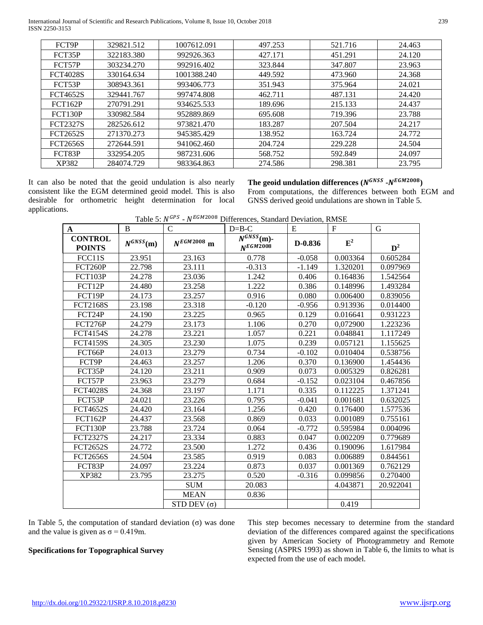International Journal of Scientific and Research Publications, Volume 8, Issue 10, October 2018 239 ISSN 2250-3153

| FCT9P           | 329821.512 | 1007612.091 | 497.253 | 521.716 | 24.463 |
|-----------------|------------|-------------|---------|---------|--------|
| FCT35P          | 322183.380 | 992926.363  | 427.171 | 451.291 | 24.120 |
| FCT57P          | 303234.270 | 992916.402  | 323.844 | 347.807 | 23.963 |
| <b>FCT4028S</b> | 330164.634 | 1001388.240 | 449.592 | 473.960 | 24.368 |
| FCT53P          | 308943.361 | 993406.773  | 351.943 | 375.964 | 24.021 |
| <b>FCT4652S</b> | 329441.767 | 997474.808  | 462.711 | 487.131 | 24.420 |
| <b>FCT162P</b>  | 270791.291 | 934625.533  | 189.696 | 215.133 | 24.437 |
| <b>FCT130P</b>  | 330982.584 | 952889.869  | 695.608 | 719.396 | 23.788 |
| <b>FCT2327S</b> | 282526.612 | 973821.470  | 183.287 | 207.504 | 24.217 |
| <b>FCT2652S</b> | 271370.273 | 945385.429  | 138.952 | 163.724 | 24.772 |
| <b>FCT2656S</b> | 272644.591 | 941062.460  | 204.724 | 229.228 | 24.504 |
| FCT83P          | 332954.205 | 987231.606  | 568.752 | 592.849 | 24.097 |
| XP382           | 284074.729 | 983364.863  | 274.586 | 298.381 | 23.795 |

It can also be noted that the geoid undulation is also nearly consistent like the EGM determined geoid model. This is also desirable for orthometric height determination for local applications.

The geoid undulation differences  $(N^{GNSS} - N^{EGM2008})$ 

From computations, the differences between both EGM and GNSS derived geoid undulations are shown in Table 5.

|  | Table 5: N <sup>GPS</sup> - N <sup>EGM2008</sup> Differences, Standard Deviation, RMSE |  |  |
|--|----------------------------------------------------------------------------------------|--|--|
|  |                                                                                        |  |  |

| A                               | B             | $\mathcal{C}$        | $D=B-C$                                             | E        | $\mathbf{F}$ | G         |
|---------------------------------|---------------|----------------------|-----------------------------------------------------|----------|--------------|-----------|
| <b>CONTROL</b><br><b>POINTS</b> | $N^{GNSS}(m)$ | $N^{EGM2008}$ m      | $\overline{N^{GNSS}}$ (m)-<br>N <sub>E</sub> GM2008 | D-0.836  | $E^2$        | $D^2$     |
| FCC11S                          | 23.951        | 23.163               | 0.778                                               | $-0.058$ | 0.003364     | 0.605284  |
| FCT260P                         | 22.798        | 23.111               | $-0.313$                                            | $-1.149$ | 1.320201     | 0.097969  |
| <b>FCT103P</b>                  | 24.278        | 23.036               | 1.242                                               | 0.406    | 0.164836     | 1.542564  |
| FCT12P                          | 24.480        | 23.258               | 1.222                                               | 0.386    | 0.148996     | 1.493284  |
| FCT19P                          | 24.173        | 23.257               | 0.916                                               | 0.080    | 0.006400     | 0.839056  |
| <b>FCT2168S</b>                 | 23.198        | 23.318               | $-0.120$                                            | $-0.956$ | 0.913936     | 0.014400  |
| FCT24P                          | 24.190        | 23.225               | 0.965                                               | 0.129    | 0.016641     | 0.931223  |
| <b>FCT276P</b>                  | 24.279        | 23.173               | 1.106                                               | 0.270    | 0,072900     | 1.223236  |
| <b>FCT4154S</b>                 | 24.278        | 23.221               | 1.057                                               | 0.221    | 0.048841     | 1.117249  |
| <b>FCT4159S</b>                 | 24.305        | 23.230               | 1.075                                               | 0.239    | 0.057121     | 1.155625  |
| FCT66P                          | 24.013        | 23.279               | 0.734                                               | $-0.102$ | 0.010404     | 0.538756  |
| FCT9P                           | 24.463        | 23.257               | 1.206                                               | 0.370    | 0.136900     | 1.454436  |
| FCT35P                          | 24.120        | 23.211               | 0.909                                               | 0.073    | 0.005329     | 0.826281  |
| FCT57P                          | 23.963        | 23.279               | 0.684                                               | $-0.152$ | 0.023104     | 0.467856  |
| <b>FCT4028S</b>                 | 24.368        | 23.197               | 1.171                                               | 0.335    | 0.112225     | 1.371241  |
| FCT53P                          | 24.021        | 23.226               | 0.795                                               | $-0.041$ | 0.001681     | 0.632025  |
| <b>FCT4652S</b>                 | 24.420        | 23.164               | 1.256                                               | 0.420    | 0.176400     | 1.577536  |
| <b>FCT162P</b>                  | 24.437        | 23.568               | 0.869                                               | 0.033    | 0.001089     | 0.755161  |
| <b>FCT130P</b>                  | 23.788        | 23.724               | 0.064                                               | $-0.772$ | 0.595984     | 0.004096  |
| <b>FCT2327S</b>                 | 24.217        | 23.334               | 0.883                                               | 0.047    | 0.002209     | 0.779689  |
| <b>FCT2652S</b>                 | 24.772        | 23.500               | 1.272                                               | 0.436    | 0.190096     | 1.617984  |
| <b>FCT2656S</b>                 | 24.504        | 23.585               | 0.919                                               | 0.083    | 0.006889     | 0.844561  |
| FCT83P                          | 24.097        | 23.224               | 0.873                                               | 0.037    | 0.001369     | 0.762129  |
| XP382                           | 23.795        | 23.275               | 0.520                                               | $-0.316$ | 0.099856     | 0.270400  |
|                                 |               | <b>SUM</b>           | 20.083                                              |          | 4.043871     | 20.922041 |
|                                 |               | <b>MEAN</b>          | 0.836                                               |          |              |           |
|                                 |               | $STD$ DEV $(\sigma)$ |                                                     |          | 0.419        |           |

In Table 5, the computation of standard deviation (σ) was done and the value is given as  $\sigma = 0.419$ m.

# **Specifications for Topographical Survey**

This step becomes necessary to determine from the standard deviation of the differences compared against the specifications given by American Society of Photogrammetry and Remote Sensing (ASPRS 1993) as shown in Table 6, the limits to what is expected from the use of each model.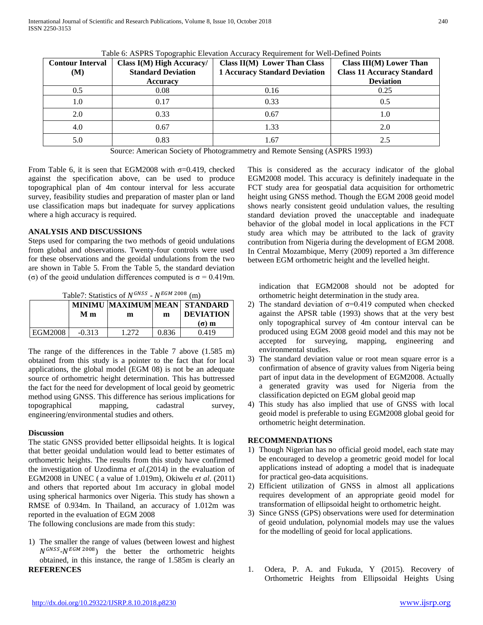International Journal of Scientific and Research Publications, Volume 8, Issue 10, October 2018 240 ISSN 2250-3153

| <b>Contour Interval</b><br>(M) | Class I(M) High Accuracy/<br><b>Standard Deviation</b><br><b>Accuracy</b> | Class II(M) Lower Than Class<br><b>1 Accuracy Standard Deviation</b> | Class $III(M)$ Lower Than<br><b>Class 11 Accuracy Standard</b><br><b>Deviation</b> |
|--------------------------------|---------------------------------------------------------------------------|----------------------------------------------------------------------|------------------------------------------------------------------------------------|
| 0.5                            | 0.08                                                                      | 0.16                                                                 | 0.25                                                                               |
| 1.0                            | 0.17                                                                      | 0.33                                                                 | 0.5                                                                                |
| 2.0                            | 0.33                                                                      | 0.67                                                                 | 1.0                                                                                |
| 4.0                            | 0.67                                                                      | 1.33                                                                 | 2.0                                                                                |
| 5.0                            | 0.83                                                                      | 1.67                                                                 | 2.5                                                                                |

Table 6: ASPRS Topographic Elevation Accuracy Requirement for Well-Defined Points

Source: American Society of Photogrammetry and Remote Sensing (ASPRS 1993)

From Table 6, it is seen that EGM2008 with  $\sigma$ =0.419, checked against the specification above, can be used to produce topographical plan of 4m contour interval for less accurate survey, feasibility studies and preparation of master plan or land use classification maps but inadequate for survey applications where a high accuracy is required.

# **ANALYSIS AND DISCUSSIONS**

Steps used for comparing the two methods of geoid undulations from global and observations. Twenty-four controls were used for these observations and the geoidal undulations from the two are shown in Table 5. From the Table 5, the standard deviation (σ) of the geoid undulation differences computed is  $σ = 0.419$ m.

Table7: Statistics of  $N^{GNSS}$  -  $N^{EGM\,2008}$  (m)

|         | Мm       | m    | m     | MINIMU MAXIMUM MEAN STANDARD<br><b>DEVIATION</b> |
|---------|----------|------|-------|--------------------------------------------------|
|         |          |      |       | $(σ)$ m                                          |
| EGM2008 | $-0.313$ | -272 | 0.836 | 0.419                                            |

The range of the differences in the Table 7 above (1.585 m) obtained from this study is a pointer to the fact that for local applications, the global model (EGM 08) is not be an adequate source of orthometric height determination. This has buttressed the fact for the need for development of local geoid by geometric method using GNSS. This difference has serious implications for topographical mapping, cadastral survey, engineering/environmental studies and others.

# **Discussion**

The static GNSS provided better ellipsoidal heights. It is logical that better geoidal undulation would lead to better estimates of orthometric heights. The results from this study have confirmed the investigation of Uzodinma *et al*.(2014) in the evaluation of EGM2008 in UNEC ( a value of 1.019m), Okiwelu *et al*. (2011) and others that reported about 1m accuracy in global model using spherical harmonics over Nigeria. This study has shown a RMSE of 0.934m. In Thailand, an accuracy of 1.012m was reported in the evaluation of EGM 2008

The following conclusions are made from this study:

1) The smaller the range of values (between lowest and highest  $N^{GNSS}$ - $N^{EGM\,2008}$ ) the better the orthometric heights obtained, in this instance, the range of 1.585m is clearly an **REFERENCES** 1. Odera, P. A. and Fukuda, Y (2015). Recovery of

This is considered as the accuracy indicator of the global EGM2008 model. This accuracy is definitely inadequate in the FCT study area for geospatial data acquisition for orthometric height using GNSS method. Though the EGM 2008 geoid model shows nearly consistent geoid undulation values, the resulting standard deviation proved the unacceptable and inadequate behavior of the global model in local applications in the FCT study area which may be attributed to the lack of gravity contribution from Nigeria during the development of EGM 2008. In Central Mozambique, Merry (2009) reported a 3m difference between EGM orthometric height and the levelled height.

indication that EGM2008 should not be adopted for orthometric height determination in the study area.

- 2) The standard deviation of  $\sigma$ =0.419 computed when checked against the APSR table (1993) shows that at the very best only topographical survey of 4m contour interval can be produced using EGM 2008 geoid model and this may not be accepted for surveying, mapping, engineering and environmental studies.
- 3) The standard deviation value or root mean square error is a confirmation of absence of gravity values from Nigeria being part of input data in the development of EGM2008. Actually a generated gravity was used for Nigeria from the classification depicted on EGM global geoid map
- 4) This study has also implied that use of GNSS with local geoid model is preferable to using EGM2008 global geoid for orthometric height determination.

# **RECOMMENDATIONS**

- 1) Though Nigerian has no official geoid model, each state may be encouraged to develop a geometric geoid model for local applications instead of adopting a model that is inadequate for practical geo-data acquisitions.
- 2) Efficient utilization of GNSS in almost all applications requires development of an appropriate geoid model for transformation of ellipsoidal height to orthometric height.
- 3) Since GNSS (GPS) observations were used for determination of geoid undulation, polynomial models may use the values for the modelling of geoid for local applications.
- Orthometric Heights from Ellipsoidal Heights Using